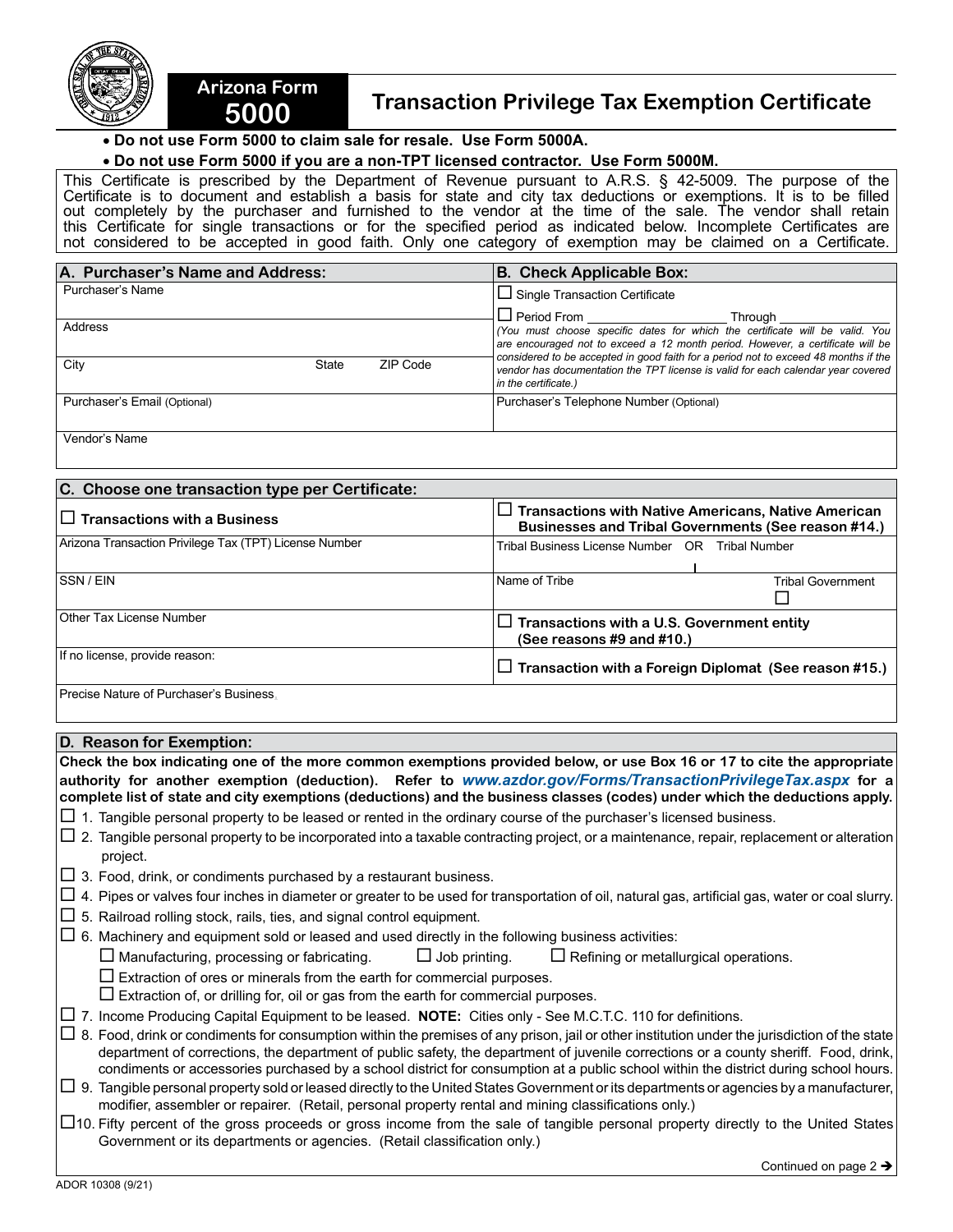



## • **Do not use Form 5000 to claim sale for resale. Use Form 5000A.**

**Arizona Form** 

## • **Do not use Form 5000 if you are a non-TPT licensed contractor. Use Form 5000M.**

This Certificate is prescribed by the Department of Revenue pursuant to A.R.S. § 42-5009. The purpose of the Certificate is to document and establish a basis for state and city tax deductions or exemptions. It is to be filled out completely by the purchaser and furnished to the vendor at the time of the sale. The vendor shall retain this Certificate for single transactions or for the specified period as indicated below. Incomplete Certificates are not considered to be accepted in good faith. Only one category of exemption may be claimed on a Certificate.

| A. Purchaser's Name and Address: |                 | <b>B. Check Applicable Box:</b>                                                                                                                                                                                                                                                                        |  |
|----------------------------------|-----------------|--------------------------------------------------------------------------------------------------------------------------------------------------------------------------------------------------------------------------------------------------------------------------------------------------------|--|
| Purchaser's Name                 |                 | $\Box$ Single Transaction Certificate                                                                                                                                                                                                                                                                  |  |
| Address                          |                 | $\Box$ Period From $\_\_\_\_\_\_\$<br>Through<br>(You must choose specific dates for which the certificate will be valid. You<br>are encouraged not to exceed a 12 month period. However, a certificate will be<br>considered to be accepted in good faith for a period not to exceed 48 months if the |  |
| City<br><b>State</b>             | <b>ZIP Code</b> | vendor has documentation the TPT license is valid for each calendar year covered<br>in the certificate.)                                                                                                                                                                                               |  |
| Purchaser's Email (Optional)     |                 | Purchaser's Telephone Number (Optional)                                                                                                                                                                                                                                                                |  |

Vendor's Name

| C. Choose one transaction type per Certificate:        |                                                                                                                   |  |  |
|--------------------------------------------------------|-------------------------------------------------------------------------------------------------------------------|--|--|
| $\Box$ Transactions with a Business                    | $\Box$ Transactions with Native Americans, Native American<br>Businesses and Tribal Governments (See reason #14.) |  |  |
| Arizona Transaction Privilege Tax (TPT) License Number | Tribal Business License Number OR<br>Tribal Number                                                                |  |  |
| <b>SSN/EIN</b>                                         | Name of Tribe<br><b>Tribal Government</b>                                                                         |  |  |
| Other Tax License Number                               | $\Box$ Transactions with a U.S. Government entity<br>(See reasons $#9$ and $#10$ .)                               |  |  |
| If no license, provide reason:                         | $\Box$ Transaction with a Foreign Diplomat (See reason #15.)                                                      |  |  |
| Precise Nature of Purchaser's Business.                |                                                                                                                   |  |  |

## **D. Reason for Exemption:**

**Check the box indicating one of the more common exemptions provided below, or use Box 16 or 17 to cite the appropriate authority for another exemption (deduction). Refer to** *www.azdor.gov/Forms/TransactionPrivilegeTax.aspx* **for a complete list of state and city exemptions (deductions) and the business classes (codes) under which the deductions apply.** 

- $\Box$  1. Tangible personal property to be leased or rented in the ordinary course of the purchaser's licensed business.
- $\Box$  2. Tangible personal property to be incorporated into a taxable contracting project, or a maintenance, repair, replacement or alteration project.
- $\Box$  3. Food, drink, or condiments purchased by a restaurant business.
- $\Box$  4. Pipes or valves four inches in diameter or greater to be used for transportation of oil, natural gas, artificial gas, water or coal slurry.
- $\Box$  5. Railroad rolling stock, rails, ties, and signal control equipment.
- $\Box$  6. Machinery and equipment sold or leased and used directly in the following business activities:

 $\Box$  Manufacturing, processing or fabricating.  $\Box$  Job printing.  $\Box$  Refining or metallurgical operations.

- $\square$  Extraction of ores or minerals from the earth for commercial purposes.
- $\square$  Extraction of, or drilling for, oil or gas from the earth for commercial purposes.
- 7. Income Producing Capital Equipment to be leased. **NOTE:** Cities only See M.C.T.C. 110 for definitions.

 $\Box$  8. Food, drink or condiments for consumption within the premises of any prison, jail or other institution under the jurisdiction of the state department of corrections, the department of public safety, the department of juvenile corrections or a county sheriff. Food, drink, condiments or accessories purchased by a school district for consumption at a public school within the district during school hours.

- $\Box$  9. Tangible personal property sold or leased directly to the United States Government or its departments or agencies by a manufacturer, modifier, assembler or repairer. (Retail, personal property rental and mining classifications only.)
- $\Box$ 10. Fifty percent of the gross proceeds or gross income from the sale of tangible personal property directly to the United States Government or its departments or agencies. (Retail classification only.)